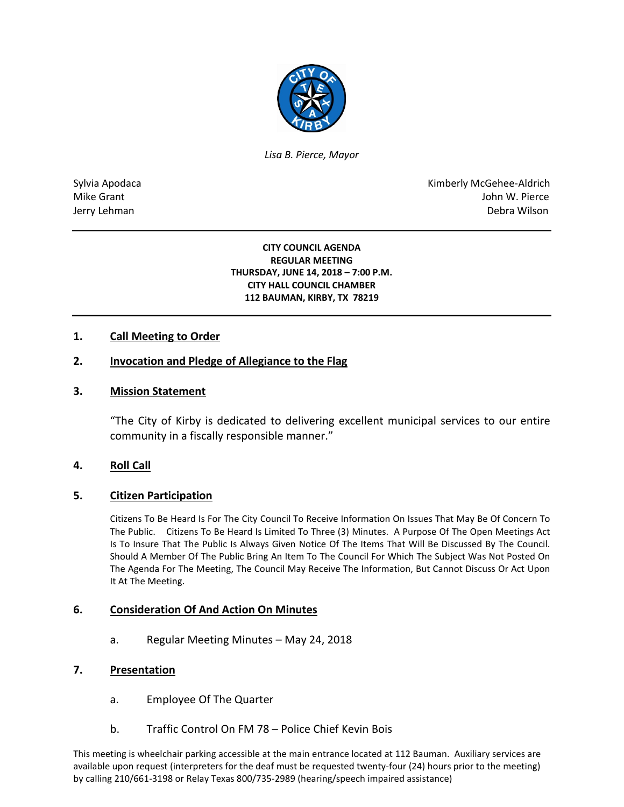

*Lisa B. Pierce, Mayor* 

Sylvia Apodaca National Apodaca Kimberly McGehee-Aldrich Mike Grant John W. Pierce Jerry Lehman Debra Wilson (2008) and the state of the state of the state of the state of the state of the state of the state of the state of the state of the state of the state of the state of the state of the state of the

#### **CITY COUNCIL AGENDA REGULAR MEETING THURSDAY, JUNE 14, 2018 – 7:00 P.M. CITY HALL COUNCIL CHAMBER 112 BAUMAN, KIRBY, TX 78219**

## **1. Call Meeting to Order**

### **2. Invocation and Pledge of Allegiance to the Flag**

#### **3. Mission Statement**

"The City of Kirby is dedicated to delivering excellent municipal services to our entire community in a fiscally responsible manner."

#### **4. Roll Call**

#### **5. Citizen Participation**

Citizens To Be Heard Is For The City Council To Receive Information On Issues That May Be Of Concern To The Public. Citizens To Be Heard Is Limited To Three (3) Minutes. A Purpose Of The Open Meetings Act Is To Insure That The Public Is Always Given Notice Of The Items That Will Be Discussed By The Council. Should A Member Of The Public Bring An Item To The Council For Which The Subject Was Not Posted On The Agenda For The Meeting, The Council May Receive The Information, But Cannot Discuss Or Act Upon It At The Meeting.

#### **6. Consideration Of And Action On Minutes**

a. Regular Meeting Minutes – May 24, 2018

#### **7. Presentation**

- a. Employee Of The Quarter
- b. Traffic Control On FM 78 Police Chief Kevin Bois

This meeting is wheelchair parking accessible at the main entrance located at 112 Bauman. Auxiliary services are available upon request (interpreters for the deaf must be requested twenty-four (24) hours prior to the meeting) by calling 210/661-3198 or Relay Texas 800/735-2989 (hearing/speech impaired assistance)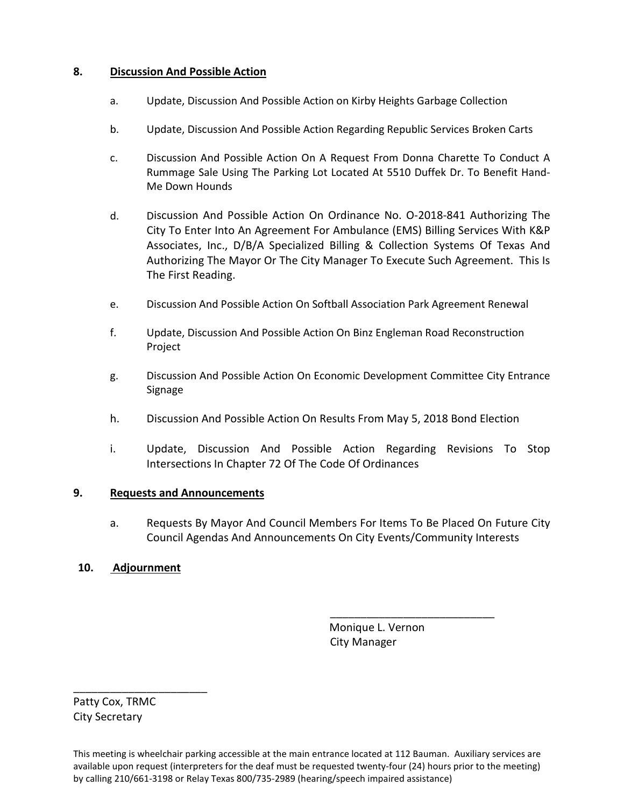# **8. Discussion And Possible Action**

- a. Update, Discussion And Possible Action on Kirby Heights Garbage Collection
- b. Update, Discussion And Possible Action Regarding Republic Services Broken Carts
- c. Discussion And Possible Action On A Request From Donna Charette To Conduct A Rummage Sale Using The Parking Lot Located At 5510 Duffek Dr. To Benefit Hand-Me Down Hounds
- d. Discussion And Possible Action On Ordinance No. O-2018-841 Authorizing The City To Enter Into An Agreement For Ambulance (EMS) Billing Services With K&P Associates, Inc., D/B/A Specialized Billing & Collection Systems Of Texas And Authorizing The Mayor Or The City Manager To Execute Such Agreement. This Is The First Reading.
- e. Discussion And Possible Action On Softball Association Park Agreement Renewal
- f. Update, Discussion And Possible Action On Binz Engleman Road Reconstruction Project
- g. Discussion And Possible Action On Economic Development Committee City Entrance Signage
- h. Discussion And Possible Action On Results From May 5, 2018 Bond Election
- i. Update, Discussion And Possible Action Regarding Revisions To Stop Intersections In Chapter 72 Of The Code Of Ordinances

## **9. Requests and Announcements**

a. Requests By Mayor And Council Members For Items To Be Placed On Future City Council Agendas And Announcements On City Events/Community Interests

## **10. Adjournment**

 Monique L. Vernon City Manager

\_\_\_\_\_\_\_\_\_\_\_\_\_\_\_\_\_\_\_\_\_\_\_\_\_\_\_

Patty Cox, TRMC City Secretary

\_\_\_\_\_\_\_\_\_\_\_\_\_\_\_\_\_\_\_\_\_\_